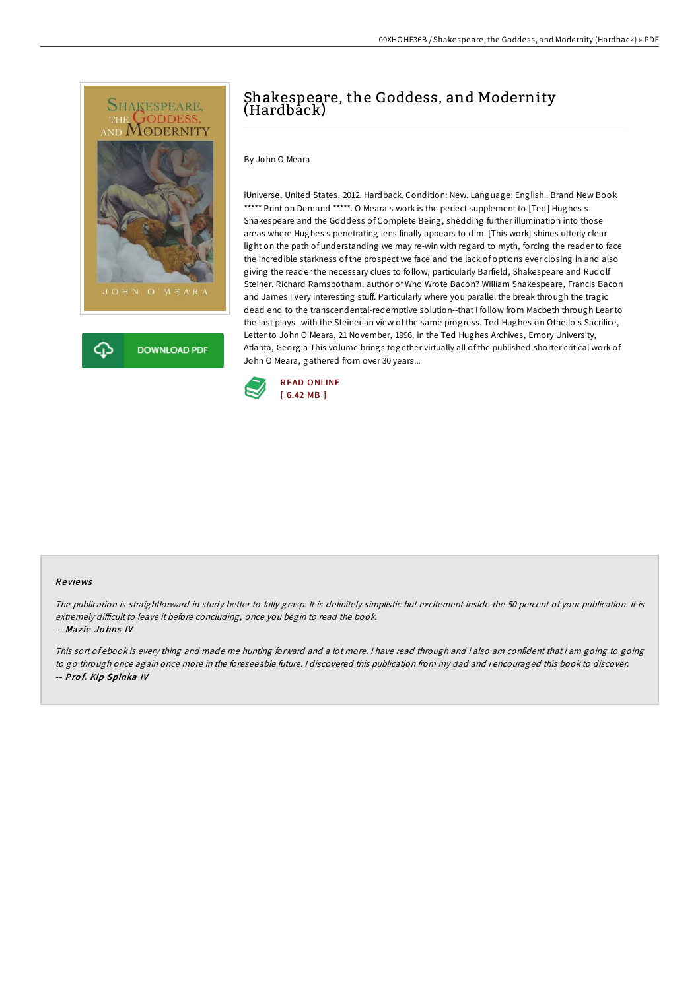



## Shakespeare, the Goddess, and Modernity (Hardback)

By John O Meara

iUniverse, United States, 2012. Hardback. Condition: New. Language: English . Brand New Book \*\*\*\*\* Print on Demand \*\*\*\*\*. O Meara s work is the perfect supplement to [Ted] Hughes s Shakespeare and the Goddess of Complete Being, shedding further illumination into those areas where Hughes s penetrating lens finally appears to dim. [This work] shines utterly clear light on the path of understanding we may re-win with regard to myth, forcing the reader to face the incredible starkness of the prospect we face and the lack of options ever closing in and also giving the reader the necessary clues to follow, particularly Barfield, Shakespeare and Rudolf Steiner. Richard Ramsbotham, author of Who Wrote Bacon? William Shakespeare, Francis Bacon and James I Very interesting stuff. Particularly where you parallel the break through the tragic dead end to the transcendental-redemptive solution--that I follow from Macbeth through Lear to the last plays--with the Steinerian view of the same progress. Ted Hughes on Othello s Sacrifice, Letter to John O Meara, 21 November, 1996, in the Ted Hughes Archives, Emory University, Atlanta, Georgia This volume brings together virtually all of the published shorter critical work of John O Meara, gathered from over 30 years...



## Re views

The publication is straightforward in study better to fully grasp. It is definitely simplistic but excitement inside the 50 percent of your publication. It is extremely difficult to leave it before concluding, once you begin to read the book.

## -- Mazie Johns IV

This sort of ebook is every thing and made me hunting forward and <sup>a</sup> lot more. <sup>I</sup> have read through and i also am confident that i am going to going to go through once again once more in the foreseeable future. <sup>I</sup> discovered this publication from my dad and i encouraged this book to discover. -- Prof. Kip Spinka IV